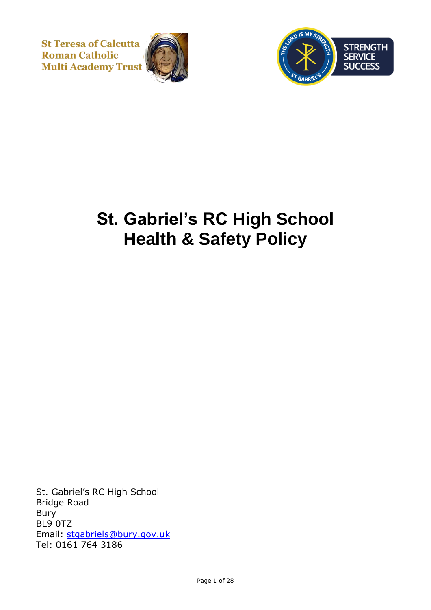**St Teresa of Calcutta Roman Catholic Multi Academy Trust** 





# **St. Gabriel's RC High School Health & Safety Policy**

St. Gabriel's RC High School Bridge Road Bury BL9 0TZ Email: [stgabriels@bury.gov.uk](mailto:stgabriels@bury.gov.uk) Tel: 0161 764 3186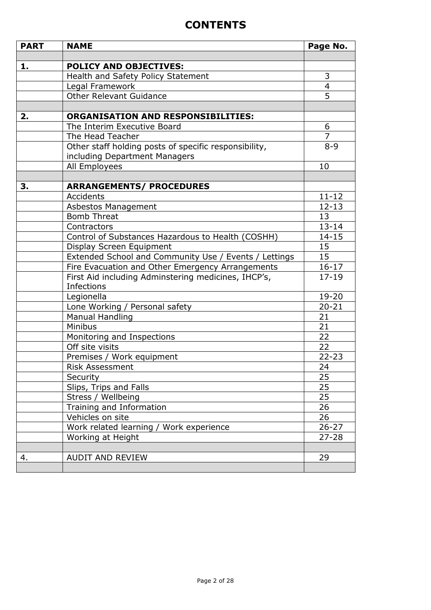# **CONTENTS**

| <b>PART</b> | <b>NAME</b>                                           | Page No.                |
|-------------|-------------------------------------------------------|-------------------------|
|             |                                                       |                         |
| 1.          | <b>POLICY AND OBJECTIVES:</b>                         |                         |
|             | Health and Safety Policy Statement                    | 3                       |
|             | Legal Framework                                       | $\overline{\mathbf{4}}$ |
|             | <b>Other Relevant Guidance</b>                        | 5                       |
|             |                                                       |                         |
| 2.          | <b>ORGANISATION AND RESPONSIBILITIES:</b>             |                         |
|             | The Interim Executive Board                           | 6                       |
|             | The Head Teacher                                      | $\overline{7}$          |
|             | Other staff holding posts of specific responsibility, | $8 - 9$                 |
|             | including Department Managers                         |                         |
|             | All Employees                                         | 10                      |
|             |                                                       |                         |
| З.          | <b>ARRANGEMENTS/ PROCEDURES</b>                       |                         |
|             | Accidents                                             | $11 - 12$               |
|             | Asbestos Management                                   | $12 - 13$               |
|             | <b>Bomb Threat</b>                                    | 13                      |
|             | Contractors                                           | $13 - 14$               |
|             | Control of Substances Hazardous to Health (COSHH)     | $14 - 15$               |
|             | Display Screen Equipment                              | 15                      |
|             | Extended School and Community Use / Events / Lettings | 15                      |
|             | Fire Evacuation and Other Emergency Arrangements      | $16 - 17$               |
|             | First Aid including Adminstering medicines, IHCP's,   | $17 - 19$               |
|             | <b>Infections</b>                                     |                         |
|             | Legionella                                            | 19-20                   |
|             | Lone Working / Personal safety                        | $20 - 21$               |
|             | <b>Manual Handling</b>                                | 21                      |
|             | Minibus                                               | 21                      |
|             | Monitoring and Inspections                            | 22                      |
|             | Off site visits                                       | 22                      |
|             | Premises / Work equipment                             | $22 - 23$               |
|             | Risk Assessment                                       | 24                      |
|             | Security                                              | 25                      |
|             | Slips, Trips and Falls                                | 25                      |
|             | Stress / Wellbeing                                    | 25                      |
|             | Training and Information                              | 26                      |
|             | Vehicles on site                                      | 26                      |
|             | Work related learning / Work experience               | $26 - 27$               |
|             | Working at Height                                     | $27 - 28$               |
|             |                                                       |                         |
| 4.          | <b>AUDIT AND REVIEW</b>                               | 29                      |
|             |                                                       |                         |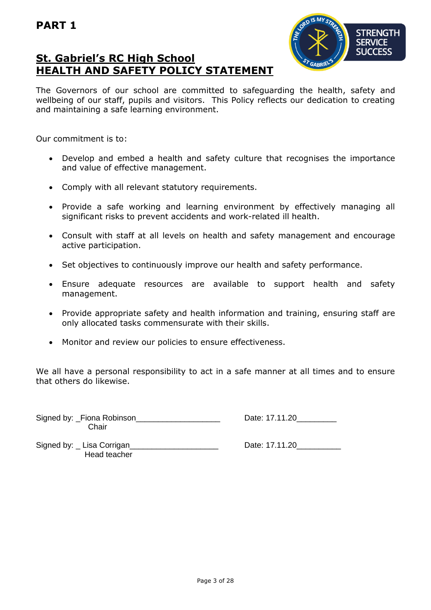# **St. Gabriel's RC High School HEALTH AND SAFETY POLICY STATEMENT**



The Governors of our school are committed to safeguarding the health, safety and wellbeing of our staff, pupils and visitors. This Policy reflects our dedication to creating and maintaining a safe learning environment.

Our commitment is to:

- Develop and embed a health and safety culture that recognises the importance and value of effective management.
- Comply with all relevant statutory requirements.
- Provide a safe working and learning environment by effectively managing all significant risks to prevent accidents and work-related ill health.
- Consult with staff at all levels on health and safety management and encourage active participation.
- Set objectives to continuously improve our health and safety performance.
- Ensure adequate resources are available to support health and safety management.
- Provide appropriate safety and health information and training, ensuring staff are only allocated tasks commensurate with their skills.
- Monitor and review our policies to ensure effectiveness.

We all have a personal responsibility to act in a safe manner at all times and to ensure that others do likewise.

Signed by: Fiona Robinson **Example 20** and the Date: 17.11.20 **Chair** 

Signed by: Lisa Corrigan entitled by: Lisa Corrigan entitled by: Lisa Corrigan entering the set of the Date: 17.11.20 Head teacher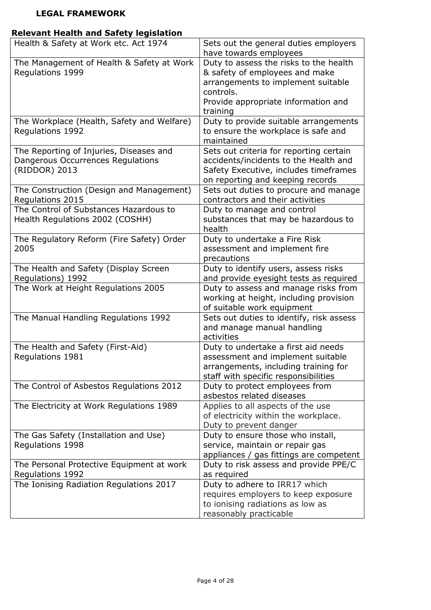# **LEGAL FRAMEWORK**

# **Relevant Health and Safety legislation**

| Health & Safety at Work etc. Act 1974                                                         | Sets out the general duties employers<br>have towards employees                                                                                                                |  |
|-----------------------------------------------------------------------------------------------|--------------------------------------------------------------------------------------------------------------------------------------------------------------------------------|--|
| The Management of Health & Safety at Work<br>Regulations 1999                                 | Duty to assess the risks to the health<br>& safety of employees and make<br>arrangements to implement suitable<br>controls.<br>Provide appropriate information and<br>training |  |
| The Workplace (Health, Safety and Welfare)<br>Regulations 1992                                | Duty to provide suitable arrangements<br>to ensure the workplace is safe and<br>maintained                                                                                     |  |
| The Reporting of Injuries, Diseases and<br>Dangerous Occurrences Regulations<br>(RIDDOR) 2013 | Sets out criteria for reporting certain<br>accidents/incidents to the Health and<br>Safety Executive, includes timeframes<br>on reporting and keeping records                  |  |
| The Construction (Design and Management)<br>Regulations 2015                                  | Sets out duties to procure and manage<br>contractors and their activities                                                                                                      |  |
| The Control of Substances Hazardous to<br>Health Regulations 2002 (COSHH)                     | Duty to manage and control<br>substances that may be hazardous to<br>health                                                                                                    |  |
| The Regulatory Reform (Fire Safety) Order<br>2005                                             | Duty to undertake a Fire Risk<br>assessment and implement fire<br>precautions                                                                                                  |  |
| The Health and Safety (Display Screen<br>Regulations) 1992                                    | Duty to identify users, assess risks<br>and provide eyesight tests as required                                                                                                 |  |
| The Work at Height Regulations 2005                                                           | Duty to assess and manage risks from<br>working at height, including provision<br>of suitable work equipment                                                                   |  |
| The Manual Handling Regulations 1992                                                          | Sets out duties to identify, risk assess<br>and manage manual handling<br>activities                                                                                           |  |
| The Health and Safety (First-Aid)<br>Regulations 1981                                         | Duty to undertake a first aid needs<br>assessment and implement suitable<br>arrangements, including training for<br>staff with specific responsibilities                       |  |
| The Control of Asbestos Regulations 2012                                                      | Duty to protect employees from<br>asbestos related diseases                                                                                                                    |  |
| The Electricity at Work Regulations 1989                                                      | Applies to all aspects of the use<br>of electricity within the workplace.<br>Duty to prevent danger                                                                            |  |
| The Gas Safety (Installation and Use)<br>Regulations 1998                                     | Duty to ensure those who install,<br>service, maintain or repair gas<br>appliances / gas fittings are competent                                                                |  |
| The Personal Protective Equipment at work<br>Regulations 1992                                 | Duty to risk assess and provide PPE/C<br>as required                                                                                                                           |  |
| The Ionising Radiation Regulations 2017                                                       | Duty to adhere to IRR17 which<br>requires employers to keep exposure<br>to ionising radiations as low as<br>reasonably practicable                                             |  |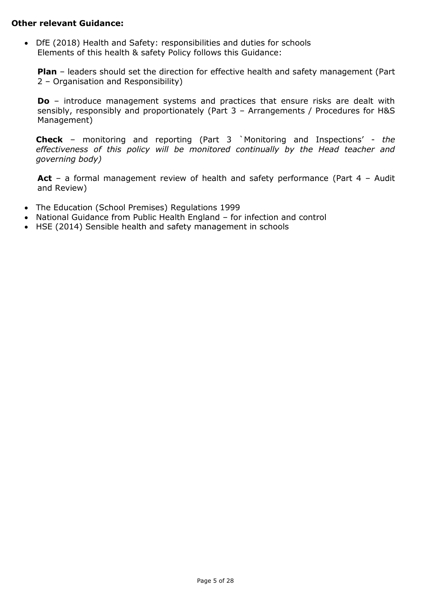#### **Other relevant Guidance:**

• DfE (2018) Health and Safety: responsibilities and duties for schools Elements of this health & safety Policy follows this Guidance:

**Plan** – leaders should set the direction for effective health and safety management (Part 2 – Organisation and Responsibility)

**Do** – introduce management systems and practices that ensure risks are dealt with sensibly, responsibly and proportionately (Part 3 – Arrangements / Procedures for H&S Management)

**Check** – monitoring and reporting (Part 3 `Monitoring and Inspections' - *the effectiveness of this policy will be monitored continually by the Head teacher and governing body)*

**Act** – a formal management review of health and safety performance (Part 4 – Audit and Review)

- The Education (School Premises) Regulations 1999
- National Guidance from Public Health England for infection and control
- HSE (2014) Sensible health and safety management in schools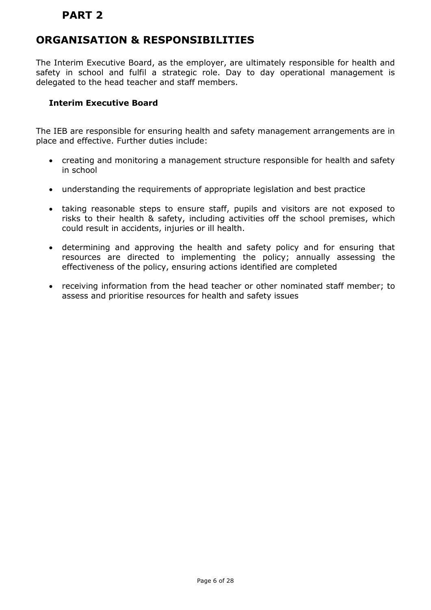# **ORGANISATION & RESPONSIBILITIES**

The Interim Executive Board, as the employer, are ultimately responsible for health and safety in school and fulfil a strategic role. Day to day operational management is delegated to the head teacher and staff members.

# **Interim Executive Board**

The IEB are responsible for ensuring health and safety management arrangements are in place and effective. Further duties include:

- creating and monitoring a management structure responsible for health and safety in school
- understanding the requirements of appropriate legislation and best practice
- taking reasonable steps to ensure staff, pupils and visitors are not exposed to risks to their health & safety, including activities off the school premises, which could result in accidents, injuries or ill health.
- determining and approving the health and safety policy and for ensuring that resources are directed to implementing the policy; annually assessing the effectiveness of the policy, ensuring actions identified are completed
- receiving information from the head teacher or other nominated staff member; to assess and prioritise resources for health and safety issues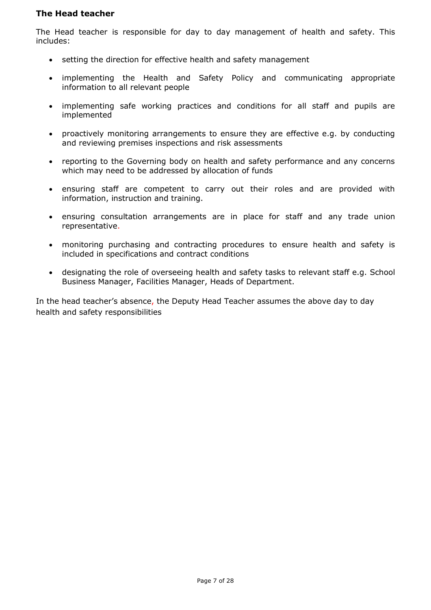#### **The Head teacher**

The Head teacher is responsible for day to day management of health and safety. This includes:

- setting the direction for effective health and safety management
- implementing the Health and Safety Policy and communicating appropriate information to all relevant people
- implementing safe working practices and conditions for all staff and pupils are implemented
- proactively monitoring arrangements to ensure they are effective e.g. by conducting and reviewing premises inspections and risk assessments
- reporting to the Governing body on health and safety performance and any concerns which may need to be addressed by allocation of funds
- ensuring staff are competent to carry out their roles and are provided with information, instruction and training.
- ensuring consultation arrangements are in place for staff and any trade union representative.
- monitoring purchasing and contracting procedures to ensure health and safety is included in specifications and contract conditions
- designating the role of overseeing health and safety tasks to relevant staff e.g. School Business Manager, Facilities Manager, Heads of Department.

In the head teacher's absence, the Deputy Head Teacher assumes the above day to day health and safety responsibilities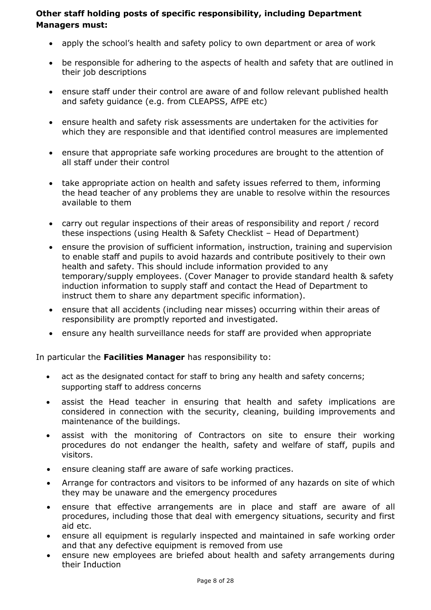# **Other staff holding posts of specific responsibility, including Department Managers must:**

- apply the school's health and safety policy to own department or area of work
- be responsible for adhering to the aspects of health and safety that are outlined in their job descriptions
- ensure staff under their control are aware of and follow relevant published health and safety guidance (e.g. from CLEAPSS, AfPE etc)
- ensure health and safety risk assessments are undertaken for the activities for which they are responsible and that identified control measures are implemented
- ensure that appropriate safe working procedures are brought to the attention of all staff under their control
- take appropriate action on health and safety issues referred to them, informing the head teacher of any problems they are unable to resolve within the resources available to them
- carry out regular inspections of their areas of responsibility and report / record these inspections (using Health & Safety Checklist – Head of Department)
- ensure the provision of sufficient information, instruction, training and supervision to enable staff and pupils to avoid hazards and contribute positively to their own health and safety. This should include information provided to any temporary/supply employees. (Cover Manager to provide standard health & safety induction information to supply staff and contact the Head of Department to instruct them to share any department specific information).
- ensure that all accidents (including near misses) occurring within their areas of responsibility are promptly reported and investigated.
- ensure any health surveillance needs for staff are provided when appropriate

In particular the **Facilities Manager** has responsibility to:

- act as the designated contact for staff to bring any health and safety concerns; supporting staff to address concerns
- assist the Head teacher in ensuring that health and safety implications are considered in connection with the security, cleaning, building improvements and maintenance of the buildings.
- assist with the monitoring of Contractors on site to ensure their working procedures do not endanger the health, safety and welfare of staff, pupils and visitors.
- ensure cleaning staff are aware of safe working practices.
- Arrange for contractors and visitors to be informed of any hazards on site of which they may be unaware and the emergency procedures
- ensure that effective arrangements are in place and staff are aware of all procedures, including those that deal with emergency situations, security and first aid etc.
- ensure all equipment is regularly inspected and maintained in safe working order and that any defective equipment is removed from use
- ensure new employees are briefed about health and safety arrangements during their Induction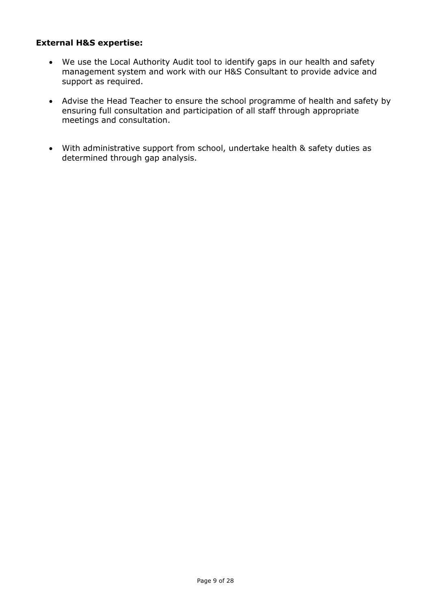# **External H&S expertise:**

- We use the Local Authority Audit tool to identify gaps in our health and safety management system and work with our H&S Consultant to provide advice and support as required.
- Advise the Head Teacher to ensure the school programme of health and safety by ensuring full consultation and participation of all staff through appropriate meetings and consultation.
- With administrative support from school, undertake health & safety duties as determined through gap analysis.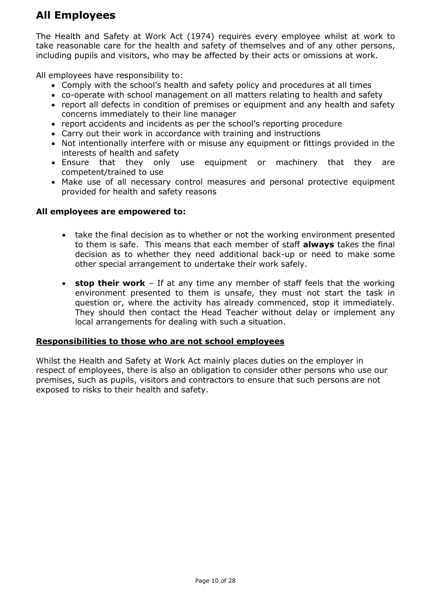# **All Employees**

The Health and Safety at Work Act (1974) requires every employee whilst at work to take reasonable care for the health and safety of themselves and of any other persons, including pupils and visitors, who may be affected by their acts or omissions at work.

All employees have responsibility to:

- Comply with the school's health and safety policy and procedures at all times
- co-operate with school management on all matters relating to health and safety
- report all defects in condition of premises or equipment and any health and safety concerns immediately to their line manager
- report accidents and incidents as per the school's reporting procedure
- Carry out their work in accordance with training and instructions
- Not intentionally interfere with or misuse any equipment or fittings provided in the interests of health and safety
- Ensure that they only use equipment or machinery that they are competent/trained to use
- Make use of all necessary control measures and personal protective equipment provided for health and safety reasons

#### **All employees are empowered to:**

- take the final decision as to whether or not the working environment presented to them is safe. This means that each member of staff **always** takes the final decision as to whether they need additional back-up or need to make some other special arrangement to undertake their work safely.
- **stop their work** If at any time any member of staff feels that the working environment presented to them is unsafe, they must not start the task in question or, where the activity has already commenced, stop it immediately. They should then contact the Head Teacher without delay or implement any local arrangements for dealing with such a situation.

#### **Responsibilities to those who are not school employees**

Whilst the Health and Safety at Work Act mainly places duties on the employer in respect of employees, there is also an obligation to consider other persons who use our premises, such as pupils, visitors and contractors to ensure that such persons are not exposed to risks to their health and safety.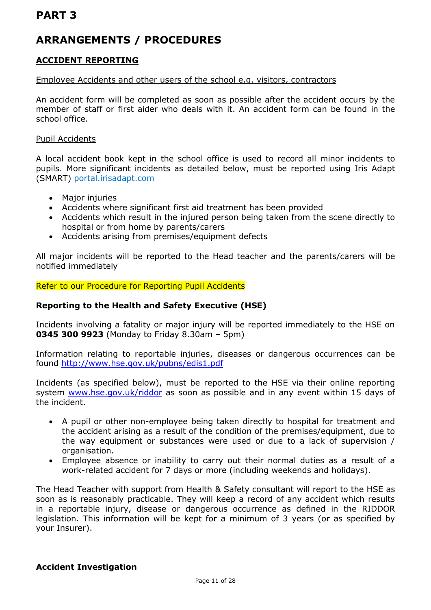# **ARRANGEMENTS / PROCEDURES**

# **ACCIDENT REPORTING**

#### Employee Accidents and other users of the school e.g. visitors, contractors

An accident form will be completed as soon as possible after the accident occurs by the member of staff or first aider who deals with it. An accident form can be found in the school office.

#### Pupil Accidents

A local accident book kept in the school office is used to record all minor incidents to pupils. More significant incidents as detailed below, must be reported using Iris Adapt (SMART) portal.irisadapt.com

- Major injuries
- Accidents where significant first aid treatment has been provided
- Accidents which result in the injured person being taken from the scene directly to hospital or from home by parents/carers
- Accidents arising from premises/equipment defects

All major incidents will be reported to the Head teacher and the parents/carers will be notified immediately

Refer to our Procedure for Reporting Pupil Accidents

### **Reporting to the Health and Safety Executive (HSE)**

Incidents involving a fatality or major injury will be reported immediately to the HSE on **0345 300 9923** (Monday to Friday 8.30am – 5pm)

Information relating to reportable injuries, diseases or dangerous occurrences can be found <http://www.hse.gov.uk/pubns/edis1.pdf>

Incidents (as specified below), must be reported to the HSE via their online reporting system [www.hse.gov.uk/riddor](http://www.hse.gov.uk/riddor) as soon as possible and in any event within 15 davs of the incident.

- A pupil or other non-employee being taken directly to hospital for treatment and the accident arising as a result of the condition of the premises/equipment, due to the way equipment or substances were used or due to a lack of supervision / organisation.
- Employee absence or inability to carry out their normal duties as a result of a work-related accident for 7 days or more (including weekends and holidays).

The Head Teacher with support from Health & Safety consultant will report to the HSE as soon as is reasonably practicable. They will keep a record of any accident which results in a reportable injury, disease or dangerous occurrence as defined in the RIDDOR legislation. This information will be kept for a minimum of 3 years (or as specified by your Insurer).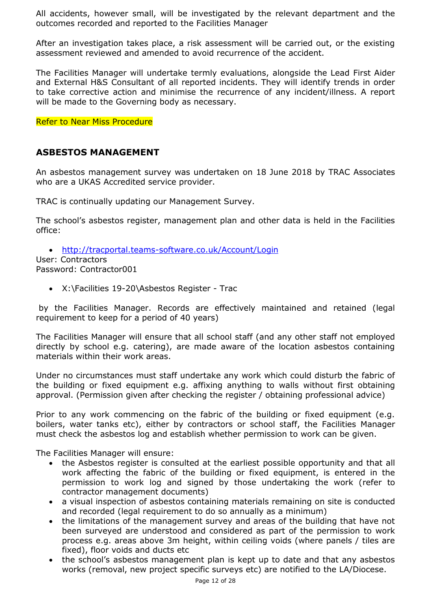All accidents, however small, will be investigated by the relevant department and the outcomes recorded and reported to the Facilities Manager

After an investigation takes place, a risk assessment will be carried out, or the existing assessment reviewed and amended to avoid recurrence of the accident.

The Facilities Manager will undertake termly evaluations, alongside the Lead First Aider and External H&S Consultant of all reported incidents. They will identify trends in order to take corrective action and minimise the recurrence of any incident/illness. A report will be made to the Governing body as necessary.

Refer to Near Miss Procedure

# **ASBESTOS MANAGEMENT**

An asbestos management survey was undertaken on 18 June 2018 by TRAC Associates who are a UKAS Accredited service provider.

TRAC is continually updating our Management Survey.

The school's asbestos register, management plan and other data is held in the Facilities office:

• <http://tracportal.teams-software.co.uk/Account/Login>

User: Contractors Password: Contractor001

• X:\Facilities 19-20\Asbestos Register - Trac

by the Facilities Manager. Records are effectively maintained and retained (legal requirement to keep for a period of 40 years)

The Facilities Manager will ensure that all school staff (and any other staff not employed directly by school e.g. catering), are made aware of the location asbestos containing materials within their work areas.

Under no circumstances must staff undertake any work which could disturb the fabric of the building or fixed equipment e.g. affixing anything to walls without first obtaining approval. (Permission given after checking the register / obtaining professional advice)

Prior to any work commencing on the fabric of the building or fixed equipment (e.g. boilers, water tanks etc), either by contractors or school staff, the Facilities Manager must check the asbestos log and establish whether permission to work can be given.

The Facilities Manager will ensure:

- the Asbestos register is consulted at the earliest possible opportunity and that all work affecting the fabric of the building or fixed equipment, is entered in the permission to work log and signed by those undertaking the work (refer to contractor management documents)
- a visual inspection of asbestos containing materials remaining on site is conducted and recorded (legal requirement to do so annually as a minimum)
- the limitations of the management survey and areas of the building that have not been surveyed are understood and considered as part of the permission to work process e.g. areas above 3m height, within ceiling voids (where panels / tiles are fixed), floor voids and ducts etc
- the school's asbestos management plan is kept up to date and that any asbestos works (removal, new project specific surveys etc) are notified to the LA/Diocese.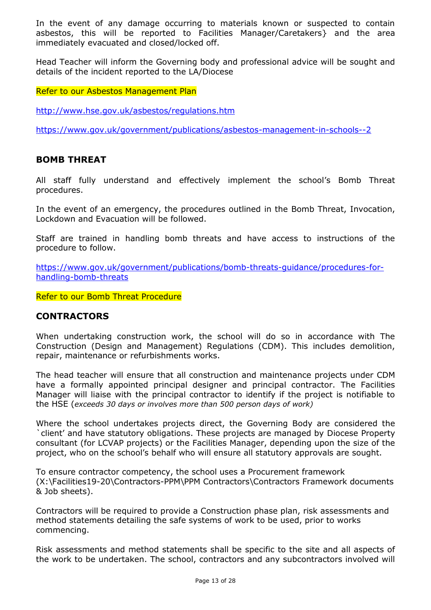In the event of any damage occurring to materials known or suspected to contain asbestos, this will be reported to Facilities Manager/Caretakers} and the area immediately evacuated and closed/locked off.

Head Teacher will inform the Governing body and professional advice will be sought and details of the incident reported to the LA/Diocese

Refer to our Asbestos Management Plan

<http://www.hse.gov.uk/asbestos/regulations.htm>

<https://www.gov.uk/government/publications/asbestos-management-in-schools--2>

#### **BOMB THREAT**

All staff fully understand and effectively implement the school's Bomb Threat procedures.

In the event of an emergency, the procedures outlined in the Bomb Threat, Invocation, Lockdown and Evacuation will be followed.

Staff are trained in handling bomb threats and have access to instructions of the procedure to follow.

[https://www.gov.uk/government/publications/bomb-threats-guidance/procedures-for](https://www.gov.uk/government/publications/bomb-threats-guidance/procedures-for-handling-bomb-threats)[handling-bomb-threats](https://www.gov.uk/government/publications/bomb-threats-guidance/procedures-for-handling-bomb-threats)

Refer to our Bomb Threat Procedure

#### **CONTRACTORS**

When undertaking construction work, the school will do so in accordance with The Construction (Design and Management) Regulations (CDM). This includes demolition, repair, maintenance or refurbishments works.

The head teacher will ensure that all construction and maintenance projects under CDM have a formally appointed principal designer and principal contractor. The Facilities Manager will liaise with the principal contractor to identify if the project is notifiable to the HSE (*exceeds 30 days or involves more than 500 person days of work)*

Where the school undertakes projects direct, the Governing Body are considered the `client' and have statutory obligations. These projects are managed by Diocese Property consultant (for LCVAP projects) or the Facilities Manager, depending upon the size of the project, who on the school's behalf who will ensure all statutory approvals are sought.

To ensure contractor competency, the school uses a Procurement framework (X:\Facilities19-20\Contractors-PPM\PPM Contractors\Contractors Framework documents & Job sheets).

Contractors will be required to provide a Construction phase plan, risk assessments and method statements detailing the safe systems of work to be used, prior to works commencing.

Risk assessments and method statements shall be specific to the site and all aspects of the work to be undertaken. The school, contractors and any subcontractors involved will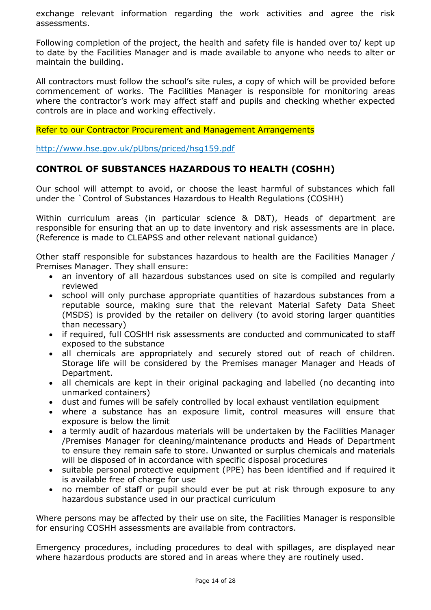exchange relevant information regarding the work activities and agree the risk assessments.

Following completion of the project, the health and safety file is handed over to/ kept up to date by the Facilities Manager and is made available to anyone who needs to alter or maintain the building.

All contractors must follow the school's site rules, a copy of which will be provided before commencement of works. The Facilities Manager is responsible for monitoring areas where the contractor's work may affect staff and pupils and checking whether expected controls are in place and working effectively.

Refer to our Contractor Procurement and Management Arrangements

<http://www.hse.gov.uk/pUbns/priced/hsg159.pdf>

# **CONTROL OF SUBSTANCES HAZARDOUS TO HEALTH (COSHH)**

Our school will attempt to avoid, or choose the least harmful of substances which fall under the `Control of Substances Hazardous to Health Regulations (COSHH)

Within curriculum areas (in particular science & D&T), Heads of department are responsible for ensuring that an up to date inventory and risk assessments are in place. (Reference is made to CLEAPSS and other relevant national guidance)

Other staff responsible for substances hazardous to health are the Facilities Manager / Premises Manager. They shall ensure:

- an inventory of all hazardous substances used on site is compiled and regularly reviewed
- school will only purchase appropriate quantities of hazardous substances from a reputable source, making sure that the relevant Material Safety Data Sheet (MSDS) is provided by the retailer on delivery (to avoid storing larger quantities than necessary)
- if required, full COSHH risk assessments are conducted and communicated to staff exposed to the substance
- all chemicals are appropriately and securely stored out of reach of children. Storage life will be considered by the Premises manager Manager and Heads of Department.
- all chemicals are kept in their original packaging and labelled (no decanting into unmarked containers)
- dust and fumes will be safely controlled by local exhaust ventilation equipment
- where a substance has an exposure limit, control measures will ensure that exposure is below the limit
- a termly audit of hazardous materials will be undertaken by the Facilities Manager /Premises Manager for cleaning/maintenance products and Heads of Department to ensure they remain safe to store. Unwanted or surplus chemicals and materials will be disposed of in accordance with specific disposal procedures
- suitable personal protective equipment (PPE) has been identified and if required it is available free of charge for use
- no member of staff or pupil should ever be put at risk through exposure to any hazardous substance used in our practical curriculum

Where persons may be affected by their use on site, the Facilities Manager is responsible for ensuring COSHH assessments are available from contractors.

Emergency procedures, including procedures to deal with spillages, are displayed near where hazardous products are stored and in areas where they are routinely used.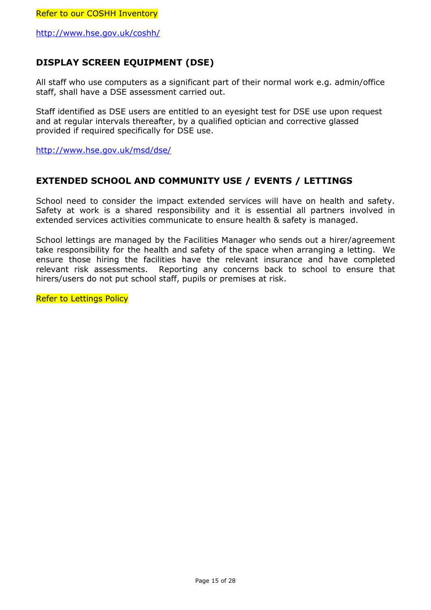<http://www.hse.gov.uk/coshh/>

# **DISPLAY SCREEN EQUIPMENT (DSE)**

All staff who use computers as a significant part of their normal work e.g. admin/office staff, shall have a DSE assessment carried out.

Staff identified as DSE users are entitled to an eyesight test for DSE use upon request and at regular intervals thereafter, by a qualified optician and corrective glassed provided if required specifically for DSE use.

<http://www.hse.gov.uk/msd/dse/>

# **EXTENDED SCHOOL AND COMMUNITY USE / EVENTS / LETTINGS**

School need to consider the impact extended services will have on health and safety. Safety at work is a shared responsibility and it is essential all partners involved in extended services activities communicate to ensure health & safety is managed.

School lettings are managed by the Facilities Manager who sends out a hirer/agreement take responsibility for the health and safety of the space when arranging a letting. We ensure those hiring the facilities have the relevant insurance and have completed relevant risk assessments. Reporting any concerns back to school to ensure that hirers/users do not put school staff, pupils or premises at risk.

Refer to Lettings Policy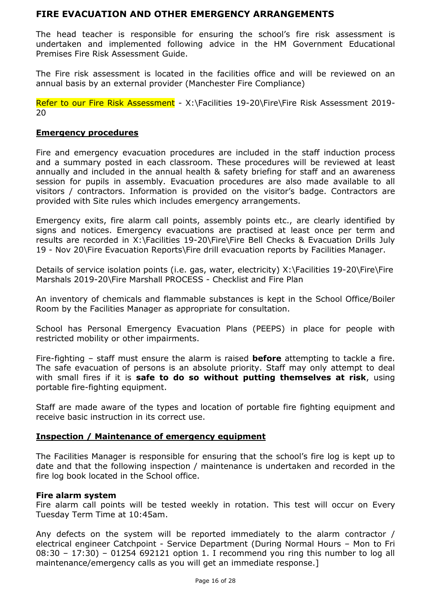# **FIRE EVACUATION AND OTHER EMERGENCY ARRANGEMENTS**

The head teacher is responsible for ensuring the school's fire risk assessment is undertaken and implemented following advice in the HM Government Educational Premises Fire Risk Assessment Guide.

The Fire risk assessment is located in the facilities office and will be reviewed on an annual basis by an external provider (Manchester Fire Compliance)

Refer to our Fire Risk Assessment - X:\Facilities 19-20\Fire\Fire Risk Assessment 2019-20

#### **Emergency procedures**

Fire and emergency evacuation procedures are included in the staff induction process and a summary posted in each classroom. These procedures will be reviewed at least annually and included in the annual health & safety briefing for staff and an awareness session for pupils in assembly. Evacuation procedures are also made available to all visitors / contractors. Information is provided on the visitor's badge. Contractors are provided with Site rules which includes emergency arrangements.

Emergency exits, fire alarm call points, assembly points etc., are clearly identified by signs and notices. Emergency evacuations are practised at least once per term and results are recorded in X:\Facilities 19-20\Fire\Fire Bell Checks & Evacuation Drills July 19 - Nov 20\Fire Evacuation Reports\Fire drill evacuation reports by Facilities Manager.

Details of service isolation points (i.e. gas, water, electricity) X:\Facilities 19-20\Fire\Fire Marshals 2019-20\Fire Marshall PROCESS - Checklist and Fire Plan

An inventory of chemicals and flammable substances is kept in the School Office/Boiler Room by the Facilities Manager as appropriate for consultation.

School has Personal Emergency Evacuation Plans (PEEPS) in place for people with restricted mobility or other impairments.

Fire-fighting – staff must ensure the alarm is raised **before** attempting to tackle a fire. The safe evacuation of persons is an absolute priority. Staff may only attempt to deal with small fires if it is **safe to do so without putting themselves at risk**, using portable fire-fighting equipment.

Staff are made aware of the types and location of portable fire fighting equipment and receive basic instruction in its correct use.

#### **Inspection / Maintenance of emergency equipment**

The Facilities Manager is responsible for ensuring that the school's fire log is kept up to date and that the following inspection / maintenance is undertaken and recorded in the fire log book located in the School office.

#### **Fire alarm system**

Fire alarm call points will be tested weekly in rotation. This test will occur on Every Tuesday Term Time at 10:45am.

Any defects on the system will be reported immediately to the alarm contractor / electrical engineer Catchpoint - Service Department (During Normal Hours – Mon to Fri 08:30 – 17:30) – 01254 692121 option 1. I recommend you ring this number to log all maintenance/emergency calls as you will get an immediate response.]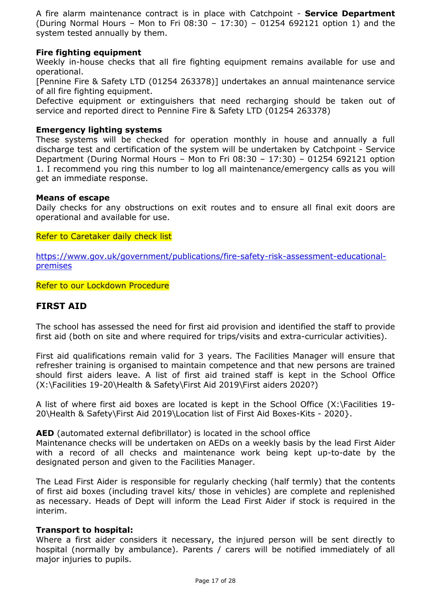A fire alarm maintenance contract is in place with Catchpoint - **Service Department** (During Normal Hours – Mon to Fri 08:30 – 17:30) – 01254 692121 option 1) and the system tested annually by them.

# **Fire fighting equipment**

Weekly in-house checks that all fire fighting equipment remains available for use and operational.

[Pennine Fire & Safety LTD (01254 263378)] undertakes an annual maintenance service of all fire fighting equipment.

Defective equipment or extinguishers that need recharging should be taken out of service and reported direct to Pennine Fire & Safety LTD (01254 263378)

#### **Emergency lighting systems**

These systems will be checked for operation monthly in house and annually a full discharge test and certification of the system will be undertaken by Catchpoint - Service Department (During Normal Hours – Mon to Fri 08:30 – 17:30) – 01254 692121 option 1. I recommend you ring this number to log all maintenance/emergency calls as you will get an immediate response.

#### **Means of escape**

Daily checks for any obstructions on exit routes and to ensure all final exit doors are operational and available for use.

Refer to Caretaker daily check list

[https://www.gov.uk/government/publications/fire-safety-risk-assessment-educational](https://www.gov.uk/government/publications/fire-safety-risk-assessment-educational-premises)[premises](https://www.gov.uk/government/publications/fire-safety-risk-assessment-educational-premises)

Refer to our Lockdown Procedure

# **FIRST AID**

The school has assessed the need for first aid provision and identified the staff to provide first aid (both on site and where required for trips/visits and extra-curricular activities).

First aid qualifications remain valid for 3 years. The Facilities Manager will ensure that refresher training is organised to maintain competence and that new persons are trained should first aiders leave. A list of first aid trained staff is kept in the School Office (X:\Facilities 19-20\Health & Safety\First Aid 2019\First aiders 2020?)

A list of where first aid boxes are located is kept in the School Office (X:\Facilities 19- 20\Health & Safety\First Aid 2019\Location list of First Aid Boxes-Kits - 2020}.

**AED** (automated external defibrillator) is located in the school office

Maintenance checks will be undertaken on AEDs on a weekly basis by the lead First Aider with a record of all checks and maintenance work being kept up-to-date by the designated person and given to the Facilities Manager.

The Lead First Aider is responsible for regularly checking (half termly) that the contents of first aid boxes (including travel kits/ those in vehicles) are complete and replenished as necessary. Heads of Dept will inform the Lead First Aider if stock is required in the interim.

# **Transport to hospital:**

Where a first aider considers it necessary, the injured person will be sent directly to hospital (normally by ambulance). Parents / carers will be notified immediately of all major injuries to pupils.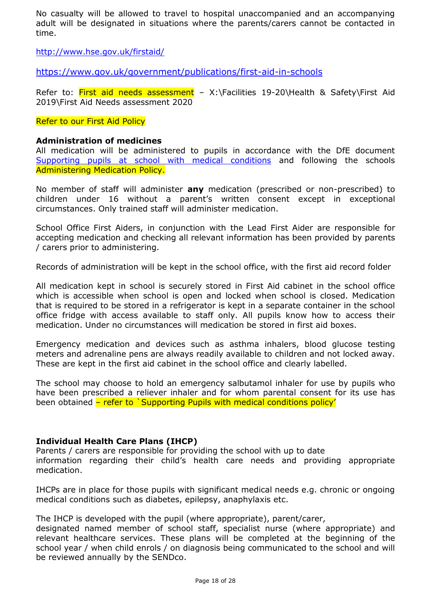No casualty will be allowed to travel to hospital unaccompanied and an accompanying adult will be designated in situations where the parents/carers cannot be contacted in time.

<http://www.hse.gov.uk/firstaid/>

<https://www.gov.uk/government/publications/first-aid-in-schools>

Refer to: First aid needs assessment - X:\Facilities 19-20\Health & Safety\First Aid 2019\First Aid Needs assessment 2020

#### Refer to our First Aid Policy

#### **Administration of medicines**

All medication will be administered to pupils in accordance with the DfE document [Supporting pupils at school with medical conditions](https://www.gov.uk/government/publications/supporting-pupils-at-school-with-medical-conditions--3) and following the schools Administering Medication Policy.

No member of staff will administer **any** medication (prescribed or non-prescribed) to children under 16 without a parent's written consent except in exceptional circumstances. Only trained staff will administer medication.

School Office First Aiders, in conjunction with the Lead First Aider are responsible for accepting medication and checking all relevant information has been provided by parents / carers prior to administering.

Records of administration will be kept in the school office, with the first aid record folder

All medication kept in school is securely stored in First Aid cabinet in the school office which is accessible when school is open and locked when school is closed. Medication that is required to be stored in a refrigerator is kept in a separate container in the school office fridge with access available to staff only. All pupils know how to access their medication. Under no circumstances will medication be stored in first aid boxes.

Emergency medication and devices such as asthma inhalers, blood glucose testing meters and adrenaline pens are always readily available to children and not locked away. These are kept in the first aid cabinet in the school office and clearly labelled.

The school may choose to hold an emergency salbutamol inhaler for use by pupils who have been prescribed a reliever inhaler and for whom parental consent for its use has been obtained – refer to `Supporting Pupils with medical conditions policy'

#### **Individual Health Care Plans (IHCP)**

Parents / carers are responsible for providing the school with up to date information regarding their child's health care needs and providing appropriate medication.

IHCPs are in place for those pupils with significant medical needs e.g. chronic or ongoing medical conditions such as diabetes, epilepsy, anaphylaxis etc.

The IHCP is developed with the pupil (where appropriate), parent/carer,

designated named member of school staff, specialist nurse (where appropriate) and relevant healthcare services. These plans will be completed at the beginning of the school year / when child enrols / on diagnosis being communicated to the school and will be reviewed annually by the SENDco.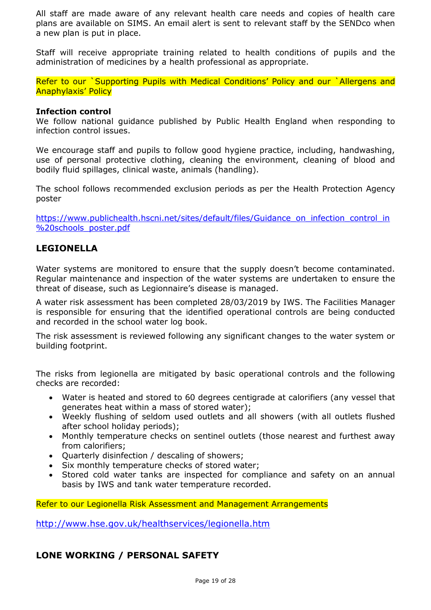All staff are made aware of any relevant health care needs and copies of health care plans are available on SIMS. An email alert is sent to relevant staff by the SENDco when a new plan is put in place.

Staff will receive appropriate training related to health conditions of pupils and the administration of medicines by a health professional as appropriate.

Refer to our `Supporting Pupils with Medical Conditions' Policy and our `Allergens and Anaphylaxis' Policy

#### **Infection control**

We follow national guidance published by Public Health England when responding to infection control issues.

We encourage staff and pupils to follow good hygiene practice, including, handwashing, use of personal protective clothing, cleaning the environment, cleaning of blood and bodily fluid spillages, clinical waste, animals (handling).

The school follows recommended exclusion periods as per the Health Protection Agency poster

[https://www.publichealth.hscni.net/sites/default/files/Guidance\\_on\\_infection\\_control\\_in](https://www.publichealth.hscni.net/sites/default/files/Guidance_on_infection_control_in%20schools_poster.pdf) [%20schools\\_poster.pdf](https://www.publichealth.hscni.net/sites/default/files/Guidance_on_infection_control_in%20schools_poster.pdf)

# **LEGIONELLA**

Water systems are monitored to ensure that the supply doesn't become contaminated. Regular maintenance and inspection of the water systems are undertaken to ensure the threat of disease, such as Legionnaire's disease is managed.

A water risk assessment has been completed 28/03/2019 by IWS. The Facilities Manager is responsible for ensuring that the identified operational controls are being conducted and recorded in the school water log book.

The risk assessment is reviewed following any significant changes to the water system or building footprint.

The risks from legionella are mitigated by basic operational controls and the following checks are recorded:

- Water is heated and stored to 60 degrees centigrade at calorifiers (any vessel that generates heat within a mass of stored water);
- Weekly flushing of seldom used outlets and all showers (with all outlets flushed after school holiday periods);
- Monthly temperature checks on sentinel outlets (those nearest and furthest away from calorifiers;
- Quarterly disinfection / descaling of showers;
- Six monthly temperature checks of stored water:
- Stored cold water tanks are inspected for compliance and safety on an annual basis by IWS and tank water temperature recorded.

Refer to our Legionella Risk Assessment and Management Arrangements

<http://www.hse.gov.uk/healthservices/legionella.htm>

# **LONE WORKING / PERSONAL SAFETY**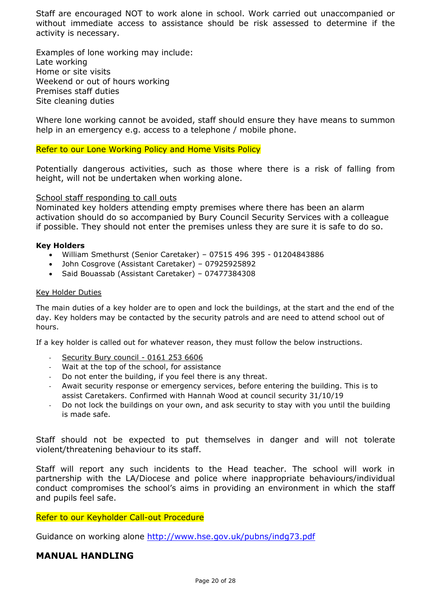Staff are encouraged NOT to work alone in school. Work carried out unaccompanied or without immediate access to assistance should be risk assessed to determine if the activity is necessary.

Examples of lone working may include: Late working Home or site visits Weekend or out of hours working Premises staff duties Site cleaning duties

Where lone working cannot be avoided, staff should ensure they have means to summon help in an emergency e.g. access to a telephone / mobile phone.

Refer to our Lone Working Policy and Home Visits Policy

Potentially dangerous activities, such as those where there is a risk of falling from height, will not be undertaken when working alone.

#### School staff responding to call outs

Nominated key holders attending empty premises where there has been an alarm activation should do so accompanied by Bury Council Security Services with a colleague if possible. They should not enter the premises unless they are sure it is safe to do so.

#### **Key Holders**

- William Smethurst (Senior Caretaker) 07515 496 395 01204843886
- John Cosgrove (Assistant Caretaker) 07925925892
- Said Bouassab (Assistant Caretaker) 07477384308

#### Key Holder Duties

The main duties of a key holder are to open and lock the buildings, at the start and the end of the day. Key holders may be contacted by the security patrols and are need to attend school out of hours.

If a key holder is called out for whatever reason, they must follow the below instructions.

- Security Bury council 0161 253 6606
- Wait at the top of the school, for assistance
- Do not enter the building, if you feel there is any threat.
- Await security response or emergency services, before entering the building. This is to assist Caretakers. Confirmed with Hannah Wood at council security 31/10/19
- Do not lock the buildings on your own, and ask security to stay with you until the building is made safe.

Staff should not be expected to put themselves in danger and will not tolerate violent/threatening behaviour to its staff.

Staff will report any such incidents to the Head teacher. The school will work in partnership with the LA/Diocese and police where inappropriate behaviours/individual conduct compromises the school's aims in providing an environment in which the staff and pupils feel safe.

#### Refer to our Keyholder Call-out Procedure

Guidance on working alone<http://www.hse.gov.uk/pubns/indg73.pdf>

# **MANUAL HANDLING**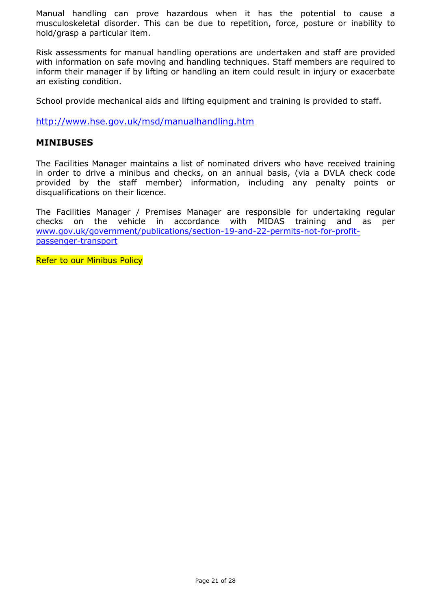Manual handling can prove hazardous when it has the potential to cause a musculoskeletal disorder. This can be due to repetition, force, posture or inability to hold/grasp a particular item.

Risk assessments for manual handling operations are undertaken and staff are provided with information on safe moving and handling techniques. Staff members are required to inform their manager if by lifting or handling an item could result in injury or exacerbate an existing condition.

School provide mechanical aids and lifting equipment and training is provided to staff.

<http://www.hse.gov.uk/msd/manualhandling.htm>

### **MINIBUSES**

The Facilities Manager maintains a list of nominated drivers who have received training in order to drive a minibus and checks, on an annual basis, (via a DVLA check code provided by the staff member) information, including any penalty points or disqualifications on their licence.

The Facilities Manager / Premises Manager are responsible for undertaking regular checks on the vehicle in accordance with MIDAS training and as per [www.gov.uk/government/publications/section-19-and-22-permits-not-for-profit](http://www.gov.uk/government/publications/section-19-and-22-permits-not-for-profit-passenger-transport)[passenger-transport](http://www.gov.uk/government/publications/section-19-and-22-permits-not-for-profit-passenger-transport)

Refer to our Minibus Policy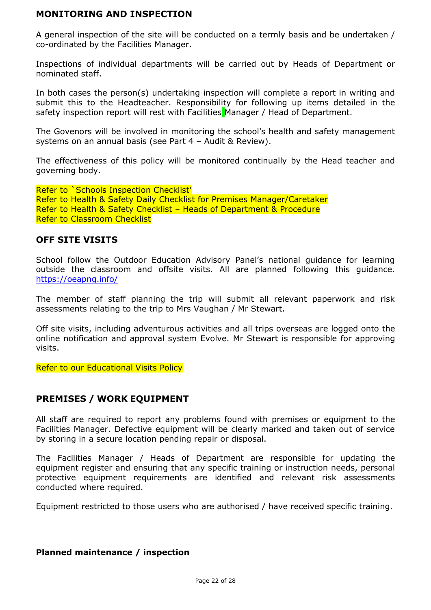# **MONITORING AND INSPECTION**

A general inspection of the site will be conducted on a termly basis and be undertaken / co-ordinated by the Facilities Manager.

Inspections of individual departments will be carried out by Heads of Department or nominated staff.

In both cases the person(s) undertaking inspection will complete a report in writing and submit this to the Headteacher. Responsibility for following up items detailed in the safety inspection report will rest with Facilities Manager / Head of Department.

The Govenors will be involved in monitoring the school's health and safety management systems on an annual basis (see Part 4 – Audit & Review).

The effectiveness of this policy will be monitored continually by the Head teacher and governing body.

Refer to `Schools Inspection Checklist' Refer to Health & Safety Daily Checklist for Premises Manager/Caretaker Refer to Health & Safety Checklist – Heads of Department & Procedure Refer to Classroom Checklist

# **OFF SITE VISITS**

School follow the Outdoor Education Advisory Panel's national guidance for learning outside the classroom and offsite visits. All are planned following this guidance. <https://oeapng.info/>

The member of staff planning the trip will submit all relevant paperwork and risk assessments relating to the trip to Mrs Vaughan / Mr Stewart.

Off site visits, including adventurous activities and all trips overseas are logged onto the online notification and approval system Evolve. Mr Stewart is responsible for approving visits.

Refer to our Educational Visits Policy

# **PREMISES / WORK EQUIPMENT**

All staff are required to report any problems found with premises or equipment to the Facilities Manager. Defective equipment will be clearly marked and taken out of service by storing in a secure location pending repair or disposal.

The Facilities Manager / Heads of Department are responsible for updating the equipment register and ensuring that any specific training or instruction needs, personal protective equipment requirements are identified and relevant risk assessments conducted where required.

Equipment restricted to those users who are authorised / have received specific training.

#### **Planned maintenance / inspection**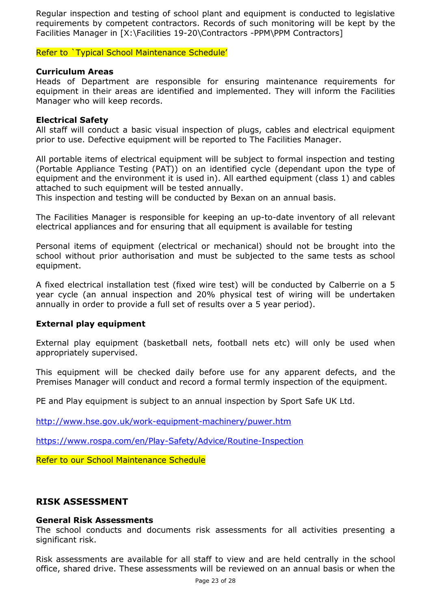Regular inspection and testing of school plant and equipment is conducted to legislative requirements by competent contractors. Records of such monitoring will be kept by the Facilities Manager in [X:\Facilities 19-20\Contractors -PPM\PPM Contractors]

Refer to `Typical School Maintenance Schedule'

#### **Curriculum Areas**

Heads of Department are responsible for ensuring maintenance requirements for equipment in their areas are identified and implemented. They will inform the Facilities Manager who will keep records.

#### **Electrical Safety**

All staff will conduct a basic visual inspection of plugs, cables and electrical equipment prior to use. Defective equipment will be reported to The Facilities Manager.

All portable items of electrical equipment will be subject to formal inspection and testing (Portable Appliance Testing (PAT)) on an identified cycle (dependant upon the type of equipment and the environment it is used in). All earthed equipment (class 1) and cables attached to such equipment will be tested annually.

This inspection and testing will be conducted by Bexan on an annual basis.

The Facilities Manager is responsible for keeping an up-to-date inventory of all relevant electrical appliances and for ensuring that all equipment is available for testing

Personal items of equipment (electrical or mechanical) should not be brought into the school without prior authorisation and must be subjected to the same tests as school equipment.

A fixed electrical installation test (fixed wire test) will be conducted by Calberrie on a 5 year cycle (an annual inspection and 20% physical test of wiring will be undertaken annually in order to provide a full set of results over a 5 year period).

# **External play equipment**

External play equipment (basketball nets, football nets etc) will only be used when appropriately supervised.

This equipment will be checked daily before use for any apparent defects, and the Premises Manager will conduct and record a formal termly inspection of the equipment.

PE and Play equipment is subject to an annual inspection by Sport Safe UK Ltd.

<http://www.hse.gov.uk/work-equipment-machinery/puwer.htm>

<https://www.rospa.com/en/Play-Safety/Advice/Routine-Inspection>

Refer to our School Maintenance Schedule

# **RISK ASSESSMENT**

#### **General Risk Assessments**

The school conducts and documents risk assessments for all activities presenting a significant risk.

Risk assessments are available for all staff to view and are held centrally in the school office, shared drive. These assessments will be reviewed on an annual basis or when the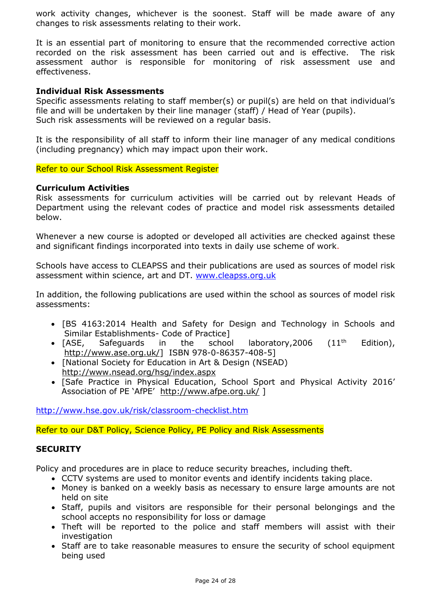work activity changes, whichever is the soonest. Staff will be made aware of any changes to risk assessments relating to their work.

It is an essential part of monitoring to ensure that the recommended corrective action recorded on the risk assessment has been carried out and is effective. The risk assessment author is responsible for monitoring of risk assessment use and effectiveness.

#### **Individual Risk Assessments**

Specific assessments relating to staff member(s) or pupil(s) are held on that individual's file and will be undertaken by their line manager (staff) / Head of Year (pupils). Such risk assessments will be reviewed on a regular basis.

It is the responsibility of all staff to inform their line manager of any medical conditions (including pregnancy) which may impact upon their work.

Refer to our School Risk Assessment Register

#### **Curriculum Activities**

Risk assessments for curriculum activities will be carried out by relevant Heads of Department using the relevant codes of practice and model risk assessments detailed below.

Whenever a new course is adopted or developed all activities are checked against these and significant findings incorporated into texts in daily use scheme of work.

Schools have access to CLEAPSS and their publications are used as sources of model risk assessment within science, art and DT. [www.cleapss.org.uk](http://www.cleapss.org.uk/)

In addition, the following publications are used within the school as sources of model risk assessments:

- [BS 4163:2014 Health and Safety for Design and Technology in Schools and Similar Establishments- Code of Practice]
- [ASE, Safeguards in the school laboratory, 2006  $(11<sup>th</sup>$  Edition), [http://www.ase.org.uk/\]](http://www.ase.org.uk/) ISBN 978-0-86357-408-5]
- [National Society for Education in Art & Design (NSEAD) <http://www.nsead.org/hsg/index.aspx>
- [Safe Practice in Physical Education, School Sport and Physical Activity 2016' Association of PE 'AfPE' <http://www.afpe.org.uk/> ]

<http://www.hse.gov.uk/risk/classroom-checklist.htm>

Refer to our D&T Policy, Science Policy, PE Policy and Risk Assessments

#### **SECURITY**

Policy and procedures are in place to reduce security breaches, including theft.

- CCTV systems are used to monitor events and identify incidents taking place.
- Money is banked on a weekly basis as necessary to ensure large amounts are not held on site
- Staff, pupils and visitors are responsible for their personal belongings and the school accepts no responsibility for loss or damage
- Theft will be reported to the police and staff members will assist with their investigation
- Staff are to take reasonable measures to ensure the security of school equipment being used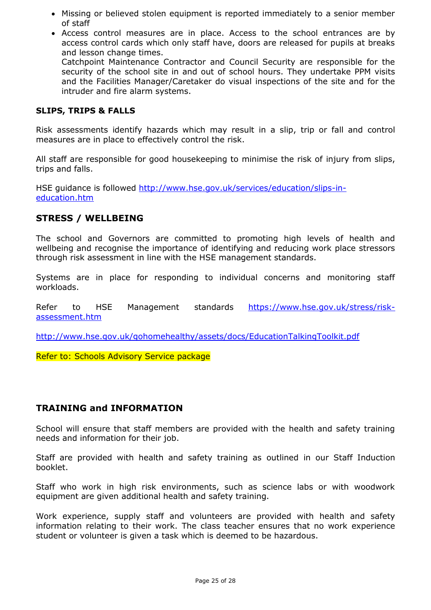- Missing or believed stolen equipment is reported immediately to a senior member of staff
- Access control measures are in place. Access to the school entrances are by access control cards which only staff have, doors are released for pupils at breaks and lesson change times. Catchpoint Maintenance Contractor and Council Security are responsible for the

security of the school site in and out of school hours. They undertake PPM visits and the Facilities Manager/Caretaker do visual inspections of the site and for the intruder and fire alarm systems.

#### **SLIPS, TRIPS & FALLS**

Risk assessments identify hazards which may result in a slip, trip or fall and control measures are in place to effectively control the risk.

All staff are responsible for good housekeeping to minimise the risk of injury from slips, trips and falls.

HSE guidance is followed [http://www.hse.gov.uk/services/education/slips-in](http://www.hse.gov.uk/services/education/slips-in-education.htm)[education.htm](http://www.hse.gov.uk/services/education/slips-in-education.htm)

# **STRESS / WELLBEING**

The school and Governors are committed to promoting high levels of health and wellbeing and recognise the importance of identifying and reducing work place stressors through risk assessment in line with the HSE management standards.

Systems are in place for responding to individual concerns and monitoring staff workloads.

Refer to HSE Management standards [https://www.hse.gov.uk/stress/risk](https://www.hse.gov.uk/stress/risk-assessment.htm)[assessment.htm](https://www.hse.gov.uk/stress/risk-assessment.htm)

<http://www.hse.gov.uk/gohomehealthy/assets/docs/EducationTalkingToolkit.pdf>

Refer to: Schools Advisory Service package

# **TRAINING and INFORMATION**

School will ensure that staff members are provided with the health and safety training needs and information for their job.

Staff are provided with health and safety training as outlined in our Staff Induction booklet.

Staff who work in high risk environments, such as science labs or with woodwork equipment are given additional health and safety training.

Work experience, supply staff and volunteers are provided with health and safety information relating to their work. The class teacher ensures that no work experience student or volunteer is given a task which is deemed to be hazardous.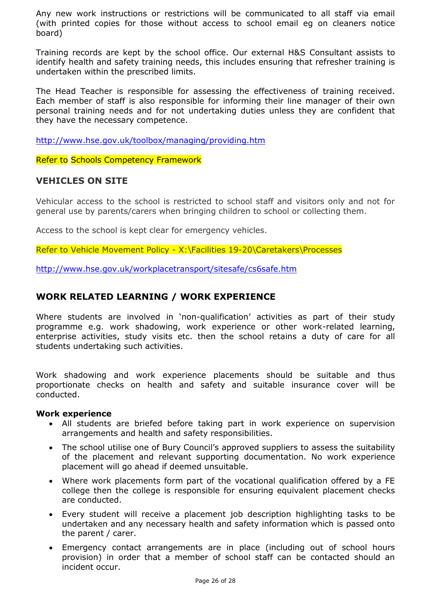Any new work instructions or restrictions will be communicated to all staff via email (with printed copies for those without access to school email eg on cleaners notice board)

Training records are kept by the school office. Our external H&S Consultant assists to identify health and safety training needs, this includes ensuring that refresher training is undertaken within the prescribed limits.

The Head Teacher is responsible for assessing the effectiveness of training received. Each member of staff is also responsible for informing their line manager of their own personal training needs and for not undertaking duties unless they are confident that they have the necessary competence.

<http://www.hse.gov.uk/toolbox/managing/providing.htm>

Refer to Schools Competency Framework

# **VEHICLES ON SITE**

Vehicular access to the school is restricted to school staff and visitors only and not for general use by parents/carers when bringing children to school or collecting them.

Access to the school is kept clear for emergency vehicles.

Refer to Vehicle Movement Policy - X:\Facilities 19-20\Caretakers\Processes

<http://www.hse.gov.uk/workplacetransport/sitesafe/cs6safe.htm>

# **WORK RELATED LEARNING / WORK EXPERIENCE**

Where students are involved in 'non-qualification' activities as part of their study programme e.g. work shadowing, work experience or other work-related learning, enterprise activities, study visits etc. then the school retains a duty of care for all students undertaking such activities.

Work shadowing and work experience placements should be suitable and thus proportionate checks on health and safety and suitable insurance cover will be conducted.

#### **Work experience**

- All students are briefed before taking part in work experience on supervision arrangements and health and safety responsibilities.
- The school utilise one of Bury Council's approved suppliers to assess the suitability of the placement and relevant supporting documentation. No work experience placement will go ahead if deemed unsuitable.
- Where work placements form part of the vocational qualification offered by a FE college then the college is responsible for ensuring equivalent placement checks are conducted.
- Every student will receive a placement job description highlighting tasks to be undertaken and any necessary health and safety information which is passed onto the parent / carer.
- Emergency contact arrangements are in place (including out of school hours provision) in order that a member of school staff can be contacted should an incident occur.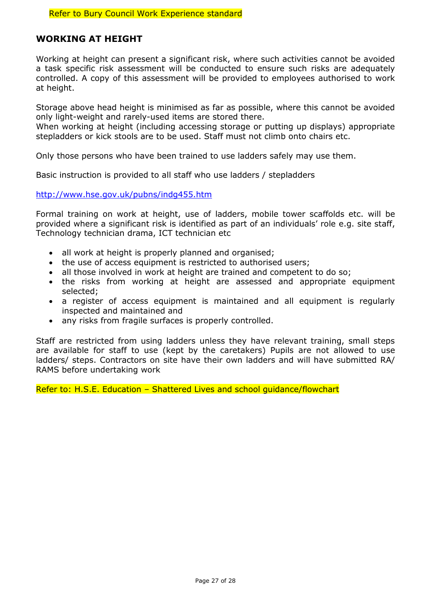# **WORKING AT HEIGHT**

Working at height can present a significant risk, where such activities cannot be avoided a task specific risk assessment will be conducted to ensure such risks are adequately controlled. A copy of this assessment will be provided to employees authorised to work at height.

Storage above head height is minimised as far as possible, where this cannot be avoided only light-weight and rarely-used items are stored there.

When working at height (including accessing storage or putting up displays) appropriate stepladders or kick stools are to be used. Staff must not climb onto chairs etc.

Only those persons who have been trained to use ladders safely may use them.

Basic instruction is provided to all staff who use ladders / stepladders

<http://www.hse.gov.uk/pubns/indg455.htm>

Formal training on work at height, use of ladders, mobile tower scaffolds etc. will be provided where a significant risk is identified as part of an individuals' role e.g. site staff, Technology technician drama, ICT technician etc

- all work at height is properly planned and organised;
- the use of access equipment is restricted to authorised users;
- all those involved in work at height are trained and competent to do so;
- the risks from working at height are assessed and appropriate equipment selected;
- a register of access equipment is maintained and all equipment is regularly inspected and maintained and
- any risks from fragile surfaces is properly controlled.

Staff are restricted from using ladders unless they have relevant training, small steps are available for staff to use (kept by the caretakers) Pupils are not allowed to use ladders/ steps. Contractors on site have their own ladders and will have submitted RA/ RAMS before undertaking work

Refer to: H.S.E. Education – Shattered Lives and school guidance/flowchart